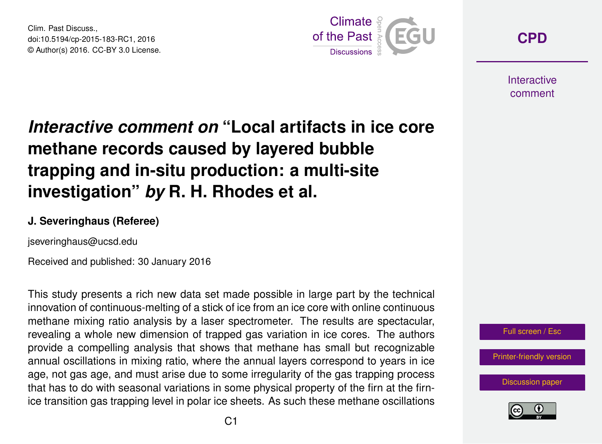Clim. Past Discuss., doi:10.5194/cp-2015-183-RC1, 2016 © Author(s) 2016. CC-BY 3.0 License.



**[CPD](http://www.clim-past-discuss.net/)**

**Interactive** comment

## *Interactive comment on* **"Local artifacts in ice core methane records caused by layered bubble trapping and in-situ production: a multi-site investigation"** *by* **R. H. Rhodes et al.**

## **J. Severinghaus (Referee)**

jseveringhaus@ucsd.edu

Received and published: 30 January 2016

This study presents a rich new data set made possible in large part by the technical innovation of continuous-melting of a stick of ice from an ice core with online continuous methane mixing ratio analysis by a laser spectrometer. The results are spectacular, revealing a whole new dimension of trapped gas variation in ice cores. The authors provide a compelling analysis that shows that methane has small but recognizable annual oscillations in mixing ratio, where the annual layers correspond to years in ice age, not gas age, and must arise due to some irregularity of the gas trapping process that has to do with seasonal variations in some physical property of the firn at the firnice transition gas trapping level in polar ice sheets. As such these methane oscillations



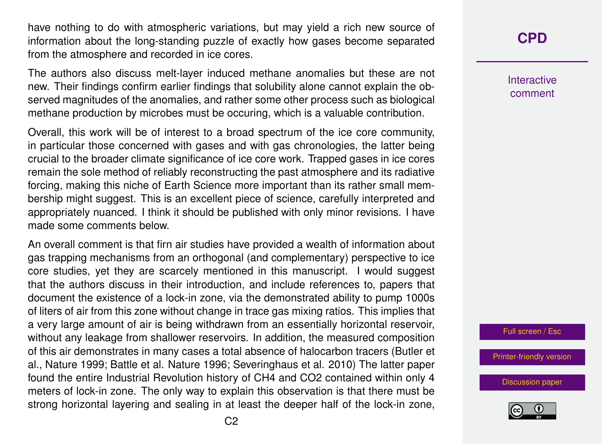have nothing to do with atmospheric variations, but may yield a rich new source of information about the long-standing puzzle of exactly how gases become separated from the atmosphere and recorded in ice cores.

The authors also discuss melt-layer induced methane anomalies but these are not new. Their findings confirm earlier findings that solubility alone cannot explain the observed magnitudes of the anomalies, and rather some other process such as biological methane production by microbes must be occuring, which is a valuable contribution.

Overall, this work will be of interest to a broad spectrum of the ice core community, in particular those concerned with gases and with gas chronologies, the latter being crucial to the broader climate significance of ice core work. Trapped gases in ice cores remain the sole method of reliably reconstructing the past atmosphere and its radiative forcing, making this niche of Earth Science more important than its rather small membership might suggest. This is an excellent piece of science, carefully interpreted and appropriately nuanced. I think it should be published with only minor revisions. I have made some comments below.

An overall comment is that firn air studies have provided a wealth of information about gas trapping mechanisms from an orthogonal (and complementary) perspective to ice core studies, yet they are scarcely mentioned in this manuscript. I would suggest that the authors discuss in their introduction, and include references to, papers that document the existence of a lock-in zone, via the demonstrated ability to pump 1000s of liters of air from this zone without change in trace gas mixing ratios. This implies that a very large amount of air is being withdrawn from an essentially horizontal reservoir, without any leakage from shallower reservoirs. In addition, the measured composition of this air demonstrates in many cases a total absence of halocarbon tracers (Butler et al., Nature 1999; Battle et al. Nature 1996; Severinghaus et al. 2010) The latter paper found the entire Industrial Revolution history of CH4 and CO2 contained within only 4 meters of lock-in zone. The only way to explain this observation is that there must be strong horizontal layering and sealing in at least the deeper half of the lock-in zone,

## **[CPD](http://www.clim-past-discuss.net/)**

**Interactive** comment

Full screen / Esc

[Printer-friendly version](http://www.clim-past-discuss.net/cp-2015-183-RC1-print.pdf)

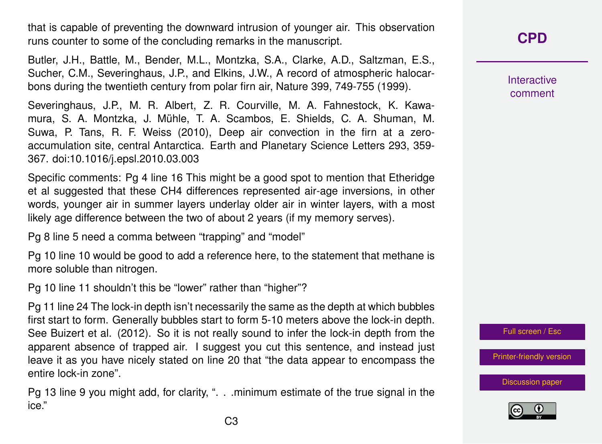that is capable of preventing the downward intrusion of younger air. This observation runs counter to some of the concluding remarks in the manuscript.

Butler, J.H., Battle, M., Bender, M.L., Montzka, S.A., Clarke, A.D., Saltzman, E.S., Sucher, C.M., Severinghaus, J.P., and Elkins, J.W., A record of atmospheric halocarbons during the twentieth century from polar firn air, Nature 399, 749-755 (1999).

Severinghaus, J.P., M. R. Albert, Z. R. Courville, M. A. Fahnestock, K. Kawamura, S. A. Montzka, J. Mühle, T. A. Scambos, E. Shields, C. A. Shuman, M. Suwa, P. Tans, R. F. Weiss (2010), Deep air convection in the firn at a zeroaccumulation site, central Antarctica. Earth and Planetary Science Letters 293, 359- 367. doi:10.1016/j.epsl.2010.03.003

Specific comments: Pg 4 line 16 This might be a good spot to mention that Etheridge et al suggested that these CH4 differences represented air-age inversions, in other words, younger air in summer layers underlay older air in winter layers, with a most likely age difference between the two of about 2 years (if my memory serves).

Pg 8 line 5 need a comma between "trapping" and "model"

Pg 10 line 10 would be good to add a reference here, to the statement that methane is more soluble than nitrogen.

Pg 10 line 11 shouldn't this be "lower" rather than "higher"?

Pg 11 line 24 The lock-in depth isn't necessarily the same as the depth at which bubbles first start to form. Generally bubbles start to form 5-10 meters above the lock-in depth. See Buizert et al. (2012). So it is not really sound to infer the lock-in depth from the apparent absence of trapped air. I suggest you cut this sentence, and instead just leave it as you have nicely stated on line 20 that "the data appear to encompass the entire lock-in zone".

Pg 13 line 9 you might add, for clarity, ". . .minimum estimate of the true signal in the ice."

**[CPD](http://www.clim-past-discuss.net/)**

Interactive comment

Full screen / Esc

[Printer-friendly version](http://www.clim-past-discuss.net/cp-2015-183-RC1-print.pdf)

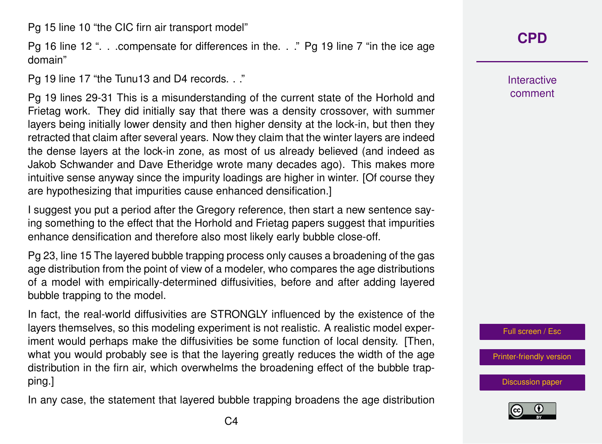Pg 15 line 10 "the CIC firn air transport model"

Pg 16 line 12 ". . .compensate for differences in the. . ." Pg 19 line 7 "in the ice age domain"

Pg 19 line 17 "the Tunu13 and D4 records. . ."

Pg 19 lines 29-31 This is a misunderstanding of the current state of the Horhold and Frietag work. They did initially say that there was a density crossover, with summer layers being initially lower density and then higher density at the lock-in, but then they retracted that claim after several years. Now they claim that the winter layers are indeed the dense layers at the lock-in zone, as most of us already believed (and indeed as Jakob Schwander and Dave Etheridge wrote many decades ago). This makes more intuitive sense anyway since the impurity loadings are higher in winter. [Of course they are hypothesizing that impurities cause enhanced densification.]

I suggest you put a period after the Gregory reference, then start a new sentence saying something to the effect that the Horhold and Frietag papers suggest that impurities enhance densification and therefore also most likely early bubble close-off.

Pg 23, line 15 The layered bubble trapping process only causes a broadening of the gas age distribution from the point of view of a modeler, who compares the age distributions of a model with empirically-determined diffusivities, before and after adding layered bubble trapping to the model.

In fact, the real-world diffusivities are STRONGLY influenced by the existence of the layers themselves, so this modeling experiment is not realistic. A realistic model experiment would perhaps make the diffusivities be some function of local density. [Then, what you would probably see is that the layering greatly reduces the width of the age distribution in the firn air, which overwhelms the broadening effect of the bubble trapping.]

In any case, the statement that layered bubble trapping broadens the age distribution

**Interactive** comment

Full screen / Esc

[Printer-friendly version](http://www.clim-past-discuss.net/cp-2015-183-RC1-print.pdf)

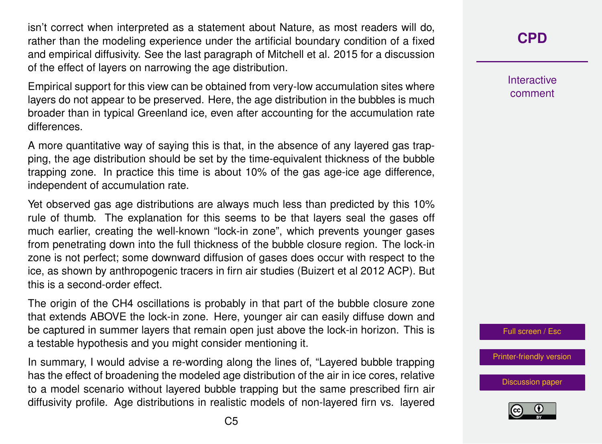isn't correct when interpreted as a statement about Nature, as most readers will do, rather than the modeling experience under the artificial boundary condition of a fixed and empirical diffusivity. See the last paragraph of Mitchell et al. 2015 for a discussion of the effect of layers on narrowing the age distribution.

Empirical support for this view can be obtained from very-low accumulation sites where layers do not appear to be preserved. Here, the age distribution in the bubbles is much broader than in typical Greenland ice, even after accounting for the accumulation rate differences.

A more quantitative way of saying this is that, in the absence of any layered gas trapping, the age distribution should be set by the time-equivalent thickness of the bubble trapping zone. In practice this time is about 10% of the gas age-ice age difference, independent of accumulation rate.

Yet observed gas age distributions are always much less than predicted by this 10% rule of thumb. The explanation for this seems to be that layers seal the gases off much earlier, creating the well-known "lock-in zone", which prevents younger gases from penetrating down into the full thickness of the bubble closure region. The lock-in zone is not perfect; some downward diffusion of gases does occur with respect to the ice, as shown by anthropogenic tracers in firn air studies (Buizert et al 2012 ACP). But this is a second-order effect.

The origin of the CH4 oscillations is probably in that part of the bubble closure zone that extends ABOVE the lock-in zone. Here, younger air can easily diffuse down and be captured in summer layers that remain open just above the lock-in horizon. This is a testable hypothesis and you might consider mentioning it.

In summary, I would advise a re-wording along the lines of, "Layered bubble trapping has the effect of broadening the modeled age distribution of the air in ice cores, relative to a model scenario without layered bubble trapping but the same prescribed firn air diffusivity profile. Age distributions in realistic models of non-layered firn vs. layered **[CPD](http://www.clim-past-discuss.net/)**

**Interactive** comment

Full screen / Esc

[Printer-friendly version](http://www.clim-past-discuss.net/cp-2015-183-RC1-print.pdf)